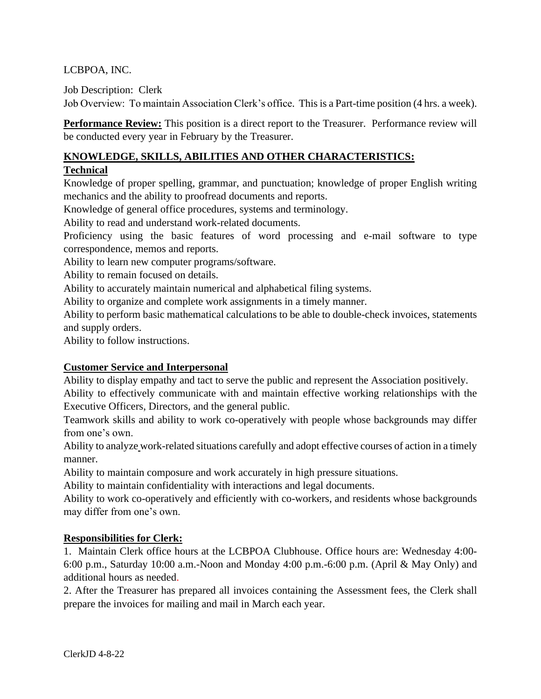# LCBPOA, INC.

Job Description: Clerk

Job Overview: To maintain Association Clerk's office. This is a Part-time position (4 hrs. a week).

**Performance Review:** This position is a direct report to the Treasurer. Performance review will be conducted every year in February by the Treasurer.

### **KNOWLEDGE, SKILLS, ABILITIES AND OTHER CHARACTERISTICS:**

### **Technical**

Knowledge of proper spelling, grammar, and punctuation; knowledge of proper English writing mechanics and the ability to proofread documents and reports.

Knowledge of general office procedures, systems and terminology.

Ability to read and understand work-related documents.

Proficiency using the basic features of word processing and e-mail software to type correspondence, memos and reports.

Ability to learn new computer programs/software.

Ability to remain focused on details.

Ability to accurately maintain numerical and alphabetical filing systems.

Ability to organize and complete work assignments in a timely manner.

Ability to perform basic mathematical calculations to be able to double-check invoices, statements and supply orders.

Ability to follow instructions.

## **Customer Service and Interpersonal**

Ability to display empathy and tact to serve the public and represent the Association positively.

Ability to effectively communicate with and maintain effective working relationships with the Executive Officers, Directors, and the general public.

Teamwork skills and ability to work co-operatively with people whose backgrounds may differ from one's own.

Ability to analyze work-related situations carefully and adopt effective courses of action in a timely manner.

Ability to maintain composure and work accurately in high pressure situations.

Ability to maintain confidentiality with interactions and legal documents.

Ability to work co-operatively and efficiently with co-workers, and residents whose backgrounds may differ from one's own.

## **Responsibilities for Clerk:**

1. Maintain Clerk office hours at the LCBPOA Clubhouse. Office hours are: Wednesday 4:00- 6:00 p.m., Saturday 10:00 a.m.-Noon and Monday 4:00 p.m.-6:00 p.m. (April & May Only) and additional hours as needed.

2. After the Treasurer has prepared all invoices containing the Assessment fees, the Clerk shall prepare the invoices for mailing and mail in March each year.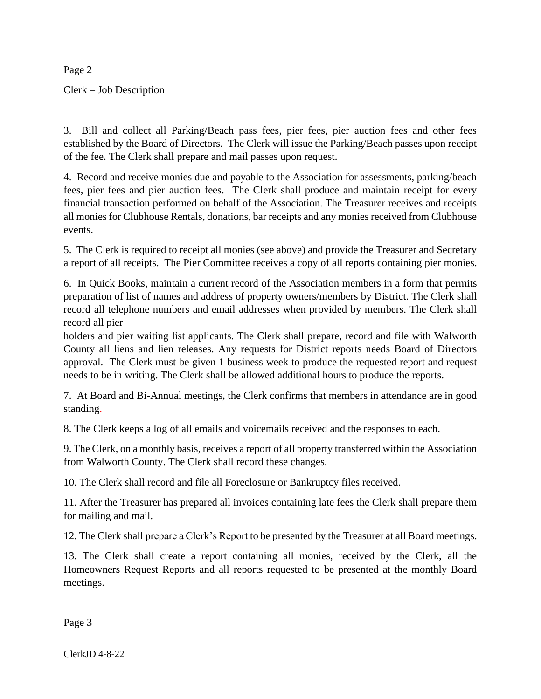Page 2

Clerk – Job Description

3. Bill and collect all Parking/Beach pass fees, pier fees, pier auction fees and other fees established by the Board of Directors. The Clerk will issue the Parking/Beach passes upon receipt of the fee. The Clerk shall prepare and mail passes upon request.

4. Record and receive monies due and payable to the Association for assessments, parking/beach fees, pier fees and pier auction fees. The Clerk shall produce and maintain receipt for every financial transaction performed on behalf of the Association. The Treasurer receives and receipts all monies for Clubhouse Rentals, donations, bar receipts and any monies received from Clubhouse events.

5. The Clerk is required to receipt all monies (see above) and provide the Treasurer and Secretary a report of all receipts. The Pier Committee receives a copy of all reports containing pier monies.

6. In Quick Books, maintain a current record of the Association members in a form that permits preparation of list of names and address of property owners/members by District. The Clerk shall record all telephone numbers and email addresses when provided by members. The Clerk shall record all pier

holders and pier waiting list applicants. The Clerk shall prepare, record and file with Walworth County all liens and lien releases. Any requests for District reports needs Board of Directors approval. The Clerk must be given 1 business week to produce the requested report and request needs to be in writing. The Clerk shall be allowed additional hours to produce the reports.

7. At Board and Bi-Annual meetings, the Clerk confirms that members in attendance are in good standing.

8. The Clerk keeps a log of all emails and voicemails received and the responses to each.

9. The Clerk, on a monthly basis, receives a report of all property transferred within the Association from Walworth County. The Clerk shall record these changes.

10. The Clerk shall record and file all Foreclosure or Bankruptcy files received.

11. After the Treasurer has prepared all invoices containing late fees the Clerk shall prepare them for mailing and mail.

12. The Clerk shall prepare a Clerk's Report to be presented by the Treasurer at all Board meetings.

13. The Clerk shall create a report containing all monies, received by the Clerk, all the Homeowners Request Reports and all reports requested to be presented at the monthly Board meetings.

Page 3